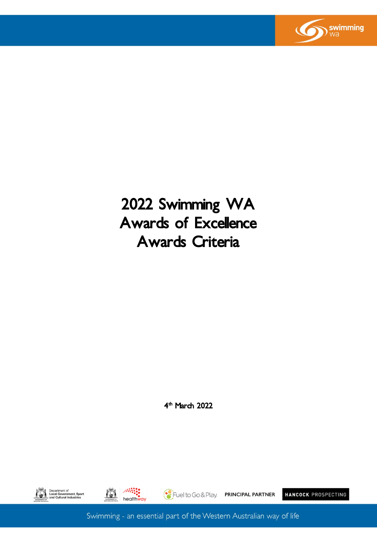

# 2022 Swimming WA Awards of Excellence Awards Criteria

4<sup>th</sup> March 2022





Fuel to Go & Play. PRINCIPAL PARTNER

HANCOCK PROSPECTING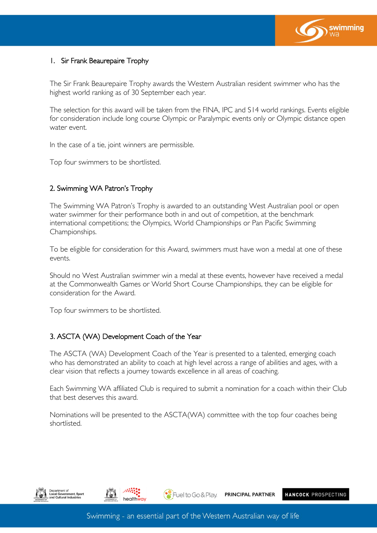

### 1. Sir Frank Beaurepaire Trophy

The Sir Frank Beaurepaire Trophy awards the Western Australian resident swimmer who has the highest world ranking as of 30 September each year.

The selection for this award will be taken from the FINA, IPC and S14 world rankings. Events eligible for consideration include long course Olympic or Paralympic events only or Olympic distance open water event.

In the case of a tie, joint winners are permissible.

Top four swimmers to be shortlisted.

### 2. Swimming WA Patron's Trophy

The Swimming WA Patron's Trophy is awarded to an outstanding West Australian pool or open water swimmer for their performance both in and out of competition, at the benchmark international competitions; the Olympics, World Championships or Pan Pacific Swimming Championships.

To be eligible for consideration for this Award, swimmers must have won a medal at one of these events.

Should no West Australian swimmer win a medal at these events, however have received a medal at the Commonwealth Games or World Short Course Championships, they can be eligible for consideration for the Award.

Top four swimmers to be shortlisted.

#### 3. ASCTA (WA) Development Coach of the Year

The ASCTA (WA) Development Coach of the Year is presented to a talented, emerging coach who has demonstrated an ability to coach at high level across a range of abilities and ages, with a clear vision that reflects a journey towards excellence in all areas of coaching.

Each Swimming WA affiliated Club is required to submit a nomination for a coach within their Club that best deserves this award.

Nominations will be presented to the ASCTA(WA) committee with the top four coaches being shortlisted.





 $\bullet$  Fuel to Go & Play.

PRINCIPAL PARTNER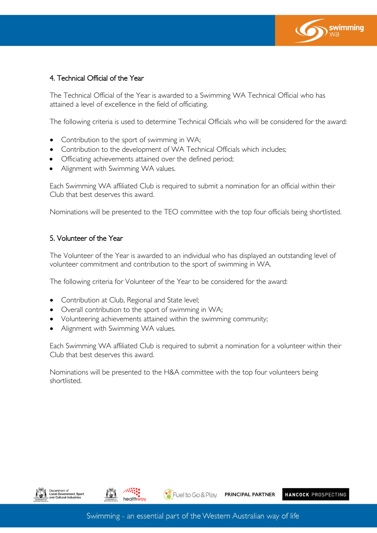

# 4. Technical Official of the Year

The Technical Official of the Year is awarded to a Swimming WA Technical Official who has attained a level of excellence in the field of officiating.

The following criteria is used to determine Technical Officials who will be considered for the award:

- Contribution to the sport of swimming in WA;
- Contribution to the development of WA Technical Officials which includes;
- Officiating achievements attained over the defined period;
- Alignment with Swimming WA values.

Each Swimming WA affiliated Club is required to submit a nomination for an official within their Club that best deserves this award.

Nominations will be presented to the TEO committee with the top four officials being shortlisted.

#### 5. Volunteer of the Year

The Volunteer of the Year is awarded to an individual who has displayed an outstanding level of volunteer commitment and contribution to the sport of swimming in WA.

The following criteria for Volunteer of the Year to be considered for the award:

- Contribution at Club, Regional and State level;
- Overall contribution to the sport of swimming in WA;
- Volunteering achievements attained within the swimming community;
- Alignment with Swimming WA values.

Each Swimming WA affiliated Club is required to submit a nomination for a volunteer within their Club that best deserves this award.

Nominations will be presented to the H&A committee with the top four volunteers being shortlisted.





 $\bullet$  Fuel to Go & Play. **PRINCIPAL PARTNER**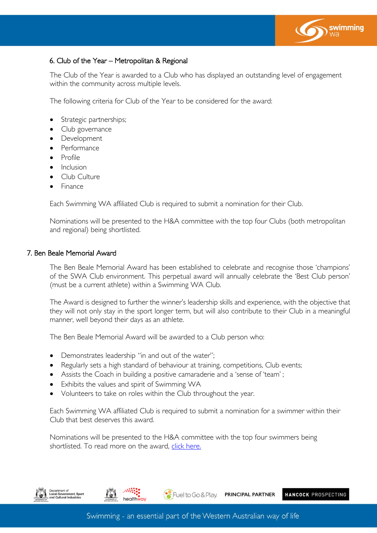

# 6. Club of the Year – Metropolitan & Regional

The Club of the Year is awarded to a Club who has displayed an outstanding level of engagement within the community across multiple levels.

The following criteria for Club of the Year to be considered for the award:

- Strategic partnerships;
- Club governance
- **Development**
- **Performance**
- Profile
- **Inclusion**
- Club Culture
- Finance

Each Swimming WA affiliated Club is required to submit a nomination for their Club.

Nominations will be presented to the H&A committee with the top four Clubs (both metropolitan and regional) being shortlisted.

#### 7. Ben Beale Memorial Award

The Ben Beale Memorial Award has been established to celebrate and recognise those 'champions' of the SWA Club environment. This perpetual award will annually celebrate the 'Best Club person' (must be a current athlete) within a Swimming WA Club.

The Award is designed to further the winner's leadership skills and experience, with the objective that they will not only stay in the sport longer term, but will also contribute to their Club in a meaningful manner, well beyond their days as an athlete.

The Ben Beale Memorial Award will be awarded to a Club person who:

• Demonstrates leadership "in and out of the water";

healthway

- Regularly sets a high standard of behaviour at training, competitions, Club events;
- Assists the Coach in building a positive camaraderie and a 'sense of 'team' ;
- Exhibits the values and spirit of Swimming WA
- Volunteers to take on roles within the Club throughout the year.

Each Swimming WA affiliated Club is required to submit a nomination for a swimmer within their Club that best deserves this award.

Nominations will be presented to the H&A committee with the top four swimmers being shortlisted. To read more on the award, click here.



PRINCIPAL PARTNER

HANCOCK PROSPECTING

Fuel to Go & Play.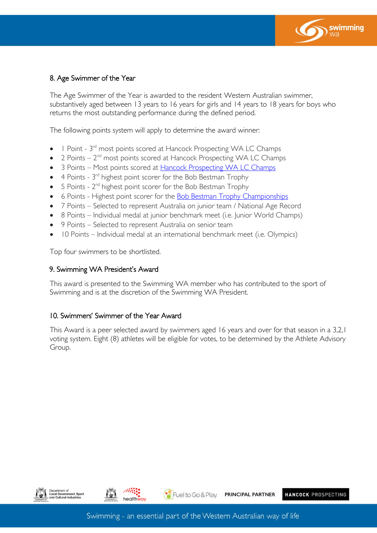

#### 8. Age Swimmer of the Year

The Age Swimmer of the Year is awarded to the resident Western Australian swimmer, substantively aged between 13 years to 16 years for girls and 14 years to 18 years for boys who returns the most outstanding performance during the defined period.

The following points system will apply to determine the award winner:

- $\bullet$   $\blacksquare$  Point  $3^{\text{rd}}$  most points scored at Hancock Prospecting WA LC Champs
- $\bullet$  2 Points  $2^{\text{nd}}$  most points scored at Hancock Prospecting WA LC Champs
- 3 Points Most points scored at [Hancock Prospecting WA LC Champs](https://wa.swimming.org.au/sites/default/files/assets/documents/220408%20Swimming%20WA%20State%20Championships%20Awards%20Criteria.pdf)
- $\bullet$  4 Points 3<sup>rd</sup> highest point scorer for the Bob Bestman Trophy
- $\bullet$  5 Points  $2^{nd}$  highest point scorer for the Bob Bestman Trophy
- 6 Points Highest point scorer for the **Bob Bestman Trophy Championships**
- 7 Points Selected to represent Australia on junior team / National Age Record
- 8 Points Individual medal at junior benchmark meet (i.e. Junior World Champs)
- 9 Points Selected to represent Australia on senior team
- 10 Points Individual medal at an international benchmark meet (i.e. Olympics)

Top four swimmers to be shortlisted.

#### 9. Swimming WA President's Award

This award is presented to the Swimming WA member who has contributed to the sport of Swimming and is at the discretion of the Swimming WA President.

#### 10. Swimmers' Swimmer of the Year Award

This Award is a peer selected award by swimmers aged 16 years and over for that season in a 3,2,1 voting system. Eight (8) athletes will be eligible for votes, to be determined by the Athlete Advisory Group.





 $\bullet$  Fuel to Go & Play. PRINCIPAL PARTNER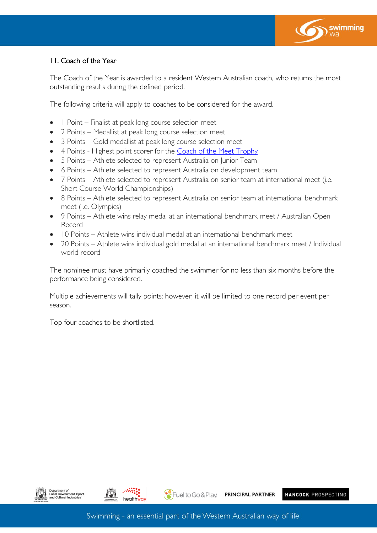

# 11. Coach of the Year

The Coach of the Year is awarded to a resident Western Australian coach, who returns the most outstanding results during the defined period.

The following criteria will apply to coaches to be considered for the award.

- 1 Point Finalist at peak long course selection meet
- 2 Points Medallist at peak long course selection meet
- 3 Points Gold medallist at peak long course selection meet
- 4 Points Highest point scorer for the [Coach of the Meet](https://wa.swimming.org.au/sites/default/files/assets/documents/220408%20Swimming%20WA%20National%20Excellence%20Awards%20Criteria_2.pdf) Trophy
- 5 Points Athlete selected to represent Australia on Junior Team
- 6 Points Athlete selected to represent Australia on development team
- 7 Points Athlete selected to represent Australia on senior team at international meet (i.e. Short Course World Championships)
- 8 Points Athlete selected to represent Australia on senior team at international benchmark meet (i.e. Olympics)
- 9 Points Athlete wins relay medal at an international benchmark meet / Australian Open Record
- 10 Points Athlete wins individual medal at an international benchmark meet
- 20 Points Athlete wins individual gold medal at an international benchmark meet / Individual world record

The nominee must have primarily coached the swimmer for no less than six months before the performance being considered.

Multiple achievements will tally points; however, it will be limited to one record per event per season.

Top four coaches to be shortlisted.



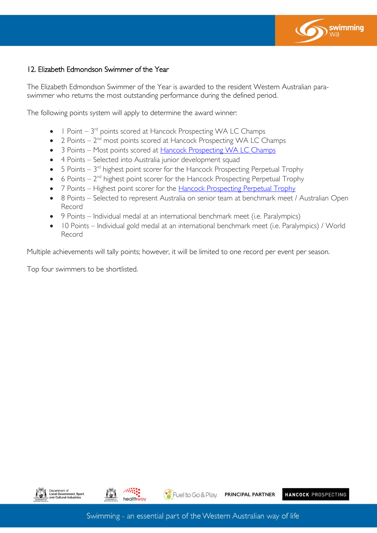

#### 12. Elizabeth Edmondson Swimmer of the Year

The Elizabeth Edmondson Swimmer of the Year is awarded to the resident Western Australian paraswimmer who returns the most outstanding performance during the defined period.

The following points system will apply to determine the award winner:

- $\bullet$  1 Point 3<sup>rd</sup> points scored at Hancock Prospecting WA LC Champs
- $\bullet$  2 Points  $2^{\text{nd}}$  most points scored at Hancock Prospecting WA LC Champs
- 3 Points Most points scored at [Hancock Prospecting WA LC Champs](https://wa.swimming.org.au/sites/default/files/assets/documents/220408%20Swimming%20WA%20State%20Championships%20Awards%20Criteria.pdf)
- 4 Points Selected into Australia junior development squad
- $\bullet$  5 Points 3 $^{\text{rd}}$  highest point scorer for the Hancock Prospecting Perpetual Trophy
- $\bullet$  6 Points  $2^{\text{nd}}$  highest point scorer for the Hancock Prospecting Perpetual Trophy
- 7 Points Highest point scorer for the **Hancock Prospecting Perpetual Trophy**
- 8 Points Selected to represent Australia on senior team at benchmark meet / Australian Open Record
- 9 Points Individual medal at an international benchmark meet (i.e. Paralympics)
- 10 Points Individual gold medal at an international benchmark meet (i.e. Paralympics) / World Record

Multiple achievements will tally points; however, it will be limited to one record per event per season.

Top four swimmers to be shortlisted.



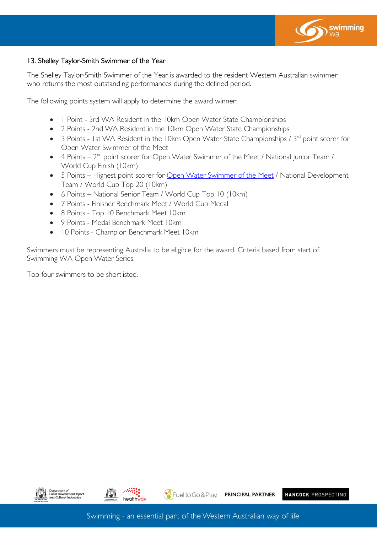

### 13. Shelley Taylor-Smith Swimmer of the Year

The Shelley Taylor-Smith Swimmer of the Year is awarded to the resident Western Australian swimmer who returns the most outstanding performances during the defined period.

The following points system will apply to determine the award winner:

- 1 Point 3rd WA Resident in the 10km Open Water State Championships
- 2 Points 2nd WA Resident in the 10km Open Water State Championships
- 3 Points 1st WA Resident in the 10km Open Water State Championships /  $3<sup>rd</sup>$  point scorer for Open Water Swimmer of the Meet
- $\bullet$  4 Points  $2^{nd}$  point scorer for Open Water Swimmer of the Meet / National Junior Team / World Cup Finish (10km)
- 5 Points Highest point scorer for [Open Water Swimmer of the Meet](https://wa.swimming.org.au/sites/default/files/assets/documents/220408%20Swimming%20WA%20National%20Excellence%20Awards%20Criteria_2.pdf) / National Development Team / World Cup Top 20 (10km)
- 6 Points National Senior Team / World Cup Top 10 (10km)
- 7 Points Finisher Benchmark Meet / World Cup Medal
- 8 Points Top 10 Benchmark Meet 10km
- 9 Points Medal Benchmark Meet 10km
- 10 Points Champion Benchmark Meet 10km

Swimmers must be representing Australia to be eligible for the award. Criteria based from start of Swimming WA Open Water Series.

Top four swimmers to be shortlisted.





HANCOCK PROSPECTING